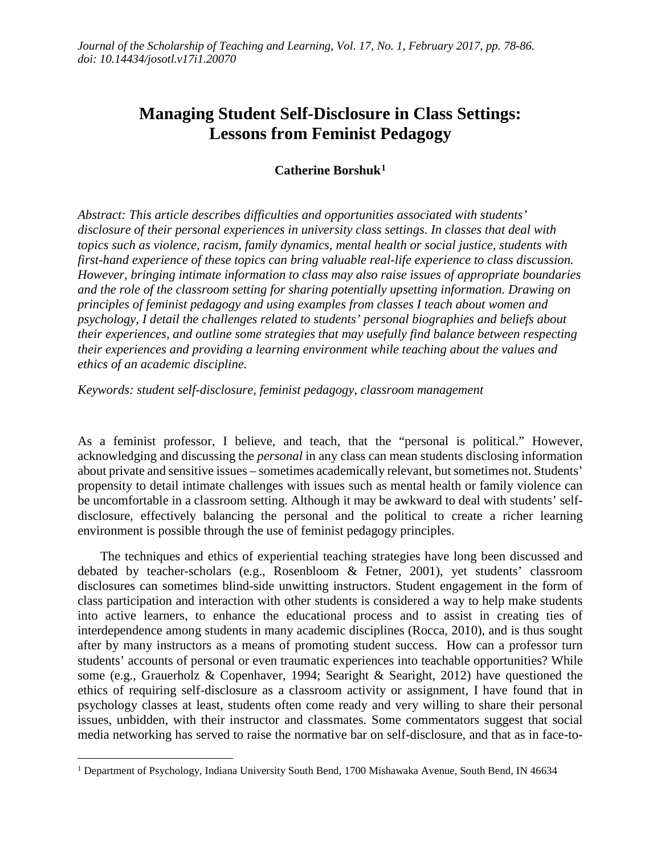# **Managing Student Self-Disclosure in Class Settings: Lessons from Feminist Pedagogy**

## **Catherine Borshuk[1](#page-0-0)**

*Abstract: This article describes difficulties and opportunities associated with students' disclosure of their personal experiences in university class settings. In classes that deal with topics such as violence, racism, family dynamics, mental health or social justice, students with first-hand experience of these topics can bring valuable real-life experience to class discussion. However, bringing intimate information to class may also raise issues of appropriate boundaries and the role of the classroom setting for sharing potentially upsetting information. Drawing on principles of feminist pedagogy and using examples from classes I teach about women and psychology, I detail the challenges related to students' personal biographies and beliefs about their experiences, and outline some strategies that may usefully find balance between respecting their experiences and providing a learning environment while teaching about the values and ethics of an academic discipline.*

*Keywords: student self-disclosure, feminist pedagogy, classroom management* 

As a feminist professor, I believe, and teach, that the "personal is political." However, acknowledging and discussing the *personal* in any class can mean students disclosing information about private and sensitive issues – sometimes academically relevant, but sometimes not. Students' propensity to detail intimate challenges with issues such as mental health or family violence can be uncomfortable in a classroom setting. Although it may be awkward to deal with students' selfdisclosure, effectively balancing the personal and the political to create a richer learning environment is possible through the use of feminist pedagogy principles.

 The techniques and ethics of experiential teaching strategies have long been discussed and debated by teacher-scholars (e.g., Rosenbloom & Fetner, 2001), yet students' classroom disclosures can sometimes blind-side unwitting instructors. Student engagement in the form of class participation and interaction with other students is considered a way to help make students into active learners, to enhance the educational process and to assist in creating ties of interdependence among students in many academic disciplines (Rocca, 2010), and is thus sought after by many instructors as a means of promoting student success. How can a professor turn students' accounts of personal or even traumatic experiences into teachable opportunities? While some (e.g., Grauerholz & Copenhaver, 1994; Searight & Searight, 2012) have questioned the ethics of requiring self-disclosure as a classroom activity or assignment, I have found that in psychology classes at least, students often come ready and very willing to share their personal issues, unbidden, with their instructor and classmates. Some commentators suggest that social media networking has served to raise the normative bar on self-disclosure, and that as in face-to-

<span id="page-0-0"></span><sup>&</sup>lt;sup>1</sup> Department of Psychology, Indiana University South Bend, 1700 Mishawaka Avenue, South Bend, IN 46634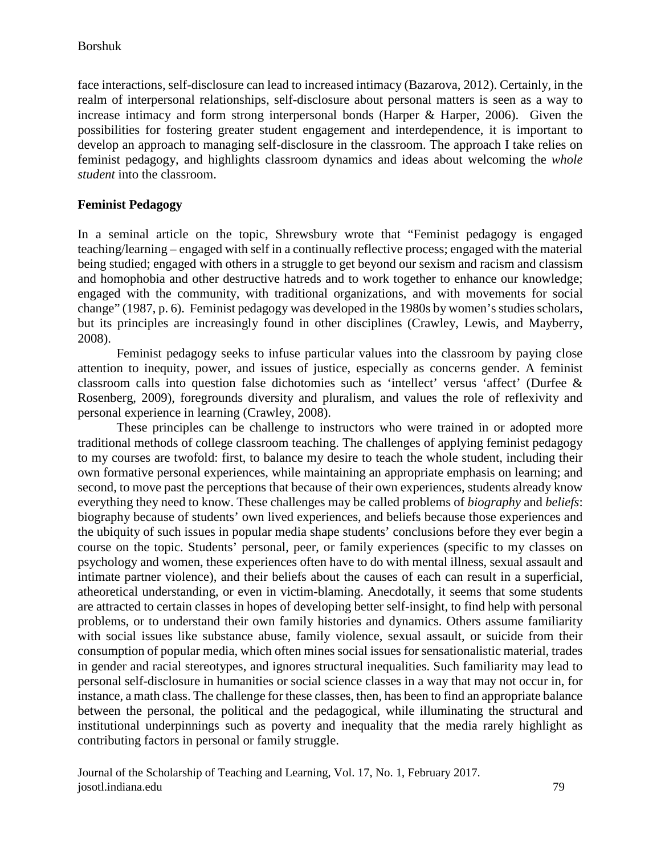face interactions, self-disclosure can lead to increased intimacy (Bazarova, 2012). Certainly, in the realm of interpersonal relationships, self-disclosure about personal matters is seen as a way to increase intimacy and form strong interpersonal bonds (Harper & Harper, 2006). Given the possibilities for fostering greater student engagement and interdependence, it is important to develop an approach to managing self-disclosure in the classroom. The approach I take relies on feminist pedagogy, and highlights classroom dynamics and ideas about welcoming the *whole student* into the classroom.

## **Feminist Pedagogy**

In a seminal article on the topic, Shrewsbury wrote that "Feminist pedagogy is engaged teaching/learning – engaged with self in a continually reflective process; engaged with the material being studied; engaged with others in a struggle to get beyond our sexism and racism and classism and homophobia and other destructive hatreds and to work together to enhance our knowledge; engaged with the community, with traditional organizations, and with movements for social change" (1987, p. 6). Feminist pedagogy was developed in the 1980s by women's studies scholars, but its principles are increasingly found in other disciplines (Crawley, Lewis, and Mayberry, 2008).

Feminist pedagogy seeks to infuse particular values into the classroom by paying close attention to inequity, power, and issues of justice, especially as concerns gender. A feminist classroom calls into question false dichotomies such as 'intellect' versus 'affect' (Durfee & Rosenberg, 2009), foregrounds diversity and pluralism, and values the role of reflexivity and personal experience in learning (Crawley, 2008).

These principles can be challenge to instructors who were trained in or adopted more traditional methods of college classroom teaching. The challenges of applying feminist pedagogy to my courses are twofold: first, to balance my desire to teach the whole student, including their own formative personal experiences, while maintaining an appropriate emphasis on learning; and second, to move past the perceptions that because of their own experiences, students already know everything they need to know. These challenges may be called problems of *biography* and *beliefs*: biography because of students' own lived experiences, and beliefs because those experiences and the ubiquity of such issues in popular media shape students' conclusions before they ever begin a course on the topic. Students' personal, peer, or family experiences (specific to my classes on psychology and women, these experiences often have to do with mental illness, sexual assault and intimate partner violence), and their beliefs about the causes of each can result in a superficial, atheoretical understanding, or even in victim-blaming. Anecdotally, it seems that some students are attracted to certain classes in hopes of developing better self-insight, to find help with personal problems, or to understand their own family histories and dynamics. Others assume familiarity with social issues like substance abuse, family violence, sexual assault, or suicide from their consumption of popular media, which often mines social issues for sensationalistic material, trades in gender and racial stereotypes, and ignores structural inequalities. Such familiarity may lead to personal self-disclosure in humanities or social science classes in a way that may not occur in, for instance, a math class. The challenge for these classes, then, has been to find an appropriate balance between the personal, the political and the pedagogical, while illuminating the structural and institutional underpinnings such as poverty and inequality that the media rarely highlight as contributing factors in personal or family struggle.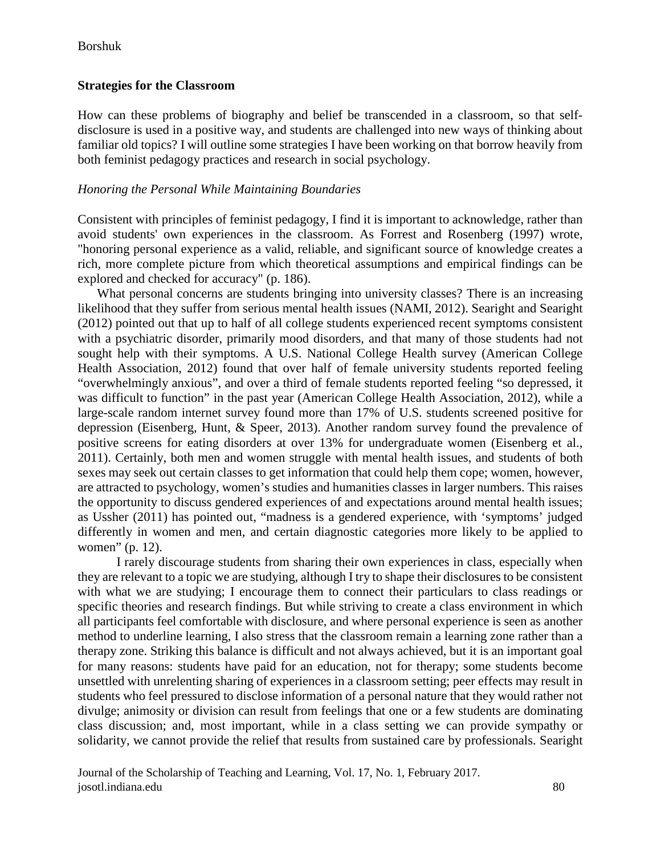Borshuk

## **Strategies for the Classroom**

How can these problems of biography and belief be transcended in a classroom, so that selfdisclosure is used in a positive way, and students are challenged into new ways of thinking about familiar old topics? I will outline some strategies I have been working on that borrow heavily from both feminist pedagogy practices and research in social psychology.

## *Honoring the Personal While Maintaining Boundaries*

Consistent with principles of feminist pedagogy, I find it is important to acknowledge, rather than avoid students' own experiences in the classroom. As Forrest and Rosenberg (1997) wrote, "honoring personal experience as a valid, reliable, and significant source of knowledge creates a rich, more complete picture from which theoretical assumptions and empirical findings can be explored and checked for accuracy" (p. 186).

What personal concerns are students bringing into university classes? There is an increasing likelihood that they suffer from serious mental health issues (NAMI, 2012). Searight and Searight (2012) pointed out that up to half of all college students experienced recent symptoms consistent with a psychiatric disorder, primarily mood disorders, and that many of those students had not sought help with their symptoms. A U.S. National College Health survey (American College Health Association, 2012) found that over half of female university students reported feeling "overwhelmingly anxious", and over a third of female students reported feeling "so depressed, it was difficult to function" in the past year (American College Health Association, 2012), while a large-scale random internet survey found more than 17% of U.S. students screened positive for depression (Eisenberg, Hunt, & Speer, 2013). Another random survey found the prevalence of positive screens for eating disorders at over 13% for undergraduate women (Eisenberg et al., 2011). Certainly, both men and women struggle with mental health issues, and students of both sexes may seek out certain classes to get information that could help them cope; women, however, are attracted to psychology, women's studies and humanities classes in larger numbers. This raises the opportunity to discuss gendered experiences of and expectations around mental health issues; as Ussher (2011) has pointed out, "madness is a gendered experience, with 'symptoms' judged differently in women and men, and certain diagnostic categories more likely to be applied to women" (p. 12).

I rarely discourage students from sharing their own experiences in class, especially when they are relevant to a topic we are studying, although I try to shape their disclosures to be consistent with what we are studying; I encourage them to connect their particulars to class readings or specific theories and research findings. But while striving to create a class environment in which all participants feel comfortable with disclosure, and where personal experience is seen as another method to underline learning, I also stress that the classroom remain a learning zone rather than a therapy zone. Striking this balance is difficult and not always achieved, but it is an important goal for many reasons: students have paid for an education, not for therapy; some students become unsettled with unrelenting sharing of experiences in a classroom setting; peer effects may result in students who feel pressured to disclose information of a personal nature that they would rather not divulge; animosity or division can result from feelings that one or a few students are dominating class discussion; and, most important, while in a class setting we can provide sympathy or solidarity, we cannot provide the relief that results from sustained care by professionals. Searight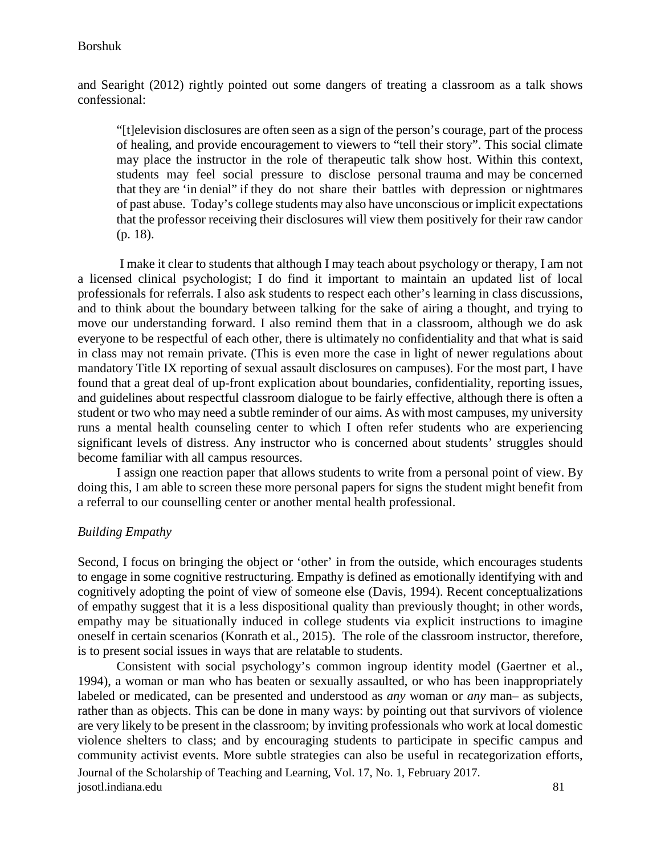and Searight (2012) rightly pointed out some dangers of treating a classroom as a talk shows confessional:

"[t]elevision disclosures are often seen as a sign of the person's courage, part of the process of healing, and provide encouragement to viewers to "tell their story". This social climate may place the instructor in the role of therapeutic talk show host. Within this context, students may feel social pressure to disclose personal trauma and may be concerned that they are 'in denial" if they do not share their battles with depression or nightmares of past abuse. Today's college students may also have unconscious or implicit expectations that the professor receiving their disclosures will view them positively for their raw candor (p. 18).

I make it clear to students that although I may teach about psychology or therapy, I am not a licensed clinical psychologist; I do find it important to maintain an updated list of local professionals for referrals. I also ask students to respect each other's learning in class discussions, and to think about the boundary between talking for the sake of airing a thought, and trying to move our understanding forward. I also remind them that in a classroom, although we do ask everyone to be respectful of each other, there is ultimately no confidentiality and that what is said in class may not remain private. (This is even more the case in light of newer regulations about mandatory Title IX reporting of sexual assault disclosures on campuses). For the most part, I have found that a great deal of up-front explication about boundaries, confidentiality, reporting issues, and guidelines about respectful classroom dialogue to be fairly effective, although there is often a student or two who may need a subtle reminder of our aims. As with most campuses, my university runs a mental health counseling center to which I often refer students who are experiencing significant levels of distress. Any instructor who is concerned about students' struggles should become familiar with all campus resources.

I assign one reaction paper that allows students to write from a personal point of view. By doing this, I am able to screen these more personal papers for signs the student might benefit from a referral to our counselling center or another mental health professional.

#### *Building Empathy*

Second, I focus on bringing the object or 'other' in from the outside, which encourages students to engage in some cognitive restructuring. Empathy is defined as emotionally identifying with and cognitively adopting the point of view of someone else (Davis, 1994). Recent conceptualizations of empathy suggest that it is a less dispositional quality than previously thought; in other words, empathy may be situationally induced in college students via explicit instructions to imagine oneself in certain scenarios (Konrath et al., 2015). The role of the classroom instructor, therefore, is to present social issues in ways that are relatable to students.

Consistent with social psychology's common ingroup identity model (Gaertner et al., 1994), a woman or man who has beaten or sexually assaulted, or who has been inappropriately labeled or medicated, can be presented and understood as *any* woman or *any* man– as subjects, rather than as objects. This can be done in many ways: by pointing out that survivors of violence are very likely to be present in the classroom; by inviting professionals who work at local domestic violence shelters to class; and by encouraging students to participate in specific campus and community activist events. More subtle strategies can also be useful in recategorization efforts,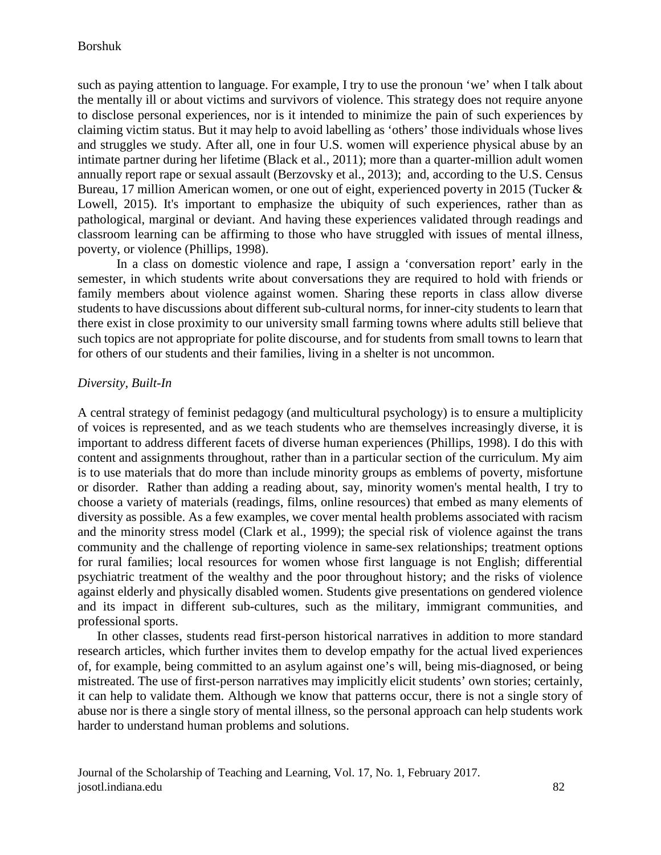such as paying attention to language. For example, I try to use the pronoun 'we' when I talk about the mentally ill or about victims and survivors of violence. This strategy does not require anyone to disclose personal experiences, nor is it intended to minimize the pain of such experiences by claiming victim status. But it may help to avoid labelling as 'others' those individuals whose lives and struggles we study. After all, one in four U.S. women will experience physical abuse by an intimate partner during her lifetime (Black et al., 2011); more than a quarter-million adult women annually report rape or sexual assault (Berzovsky et al., 2013); and, according to the U.S. Census Bureau, 17 million American women, or one out of eight, experienced poverty in 2015 (Tucker & Lowell, 2015). It's important to emphasize the ubiquity of such experiences, rather than as pathological, marginal or deviant. And having these experiences validated through readings and classroom learning can be affirming to those who have struggled with issues of mental illness, poverty, or violence (Phillips, 1998).

In a class on domestic violence and rape, I assign a 'conversation report' early in the semester, in which students write about conversations they are required to hold with friends or family members about violence against women. Sharing these reports in class allow diverse students to have discussions about different sub-cultural norms, for inner-city students to learn that there exist in close proximity to our university small farming towns where adults still believe that such topics are not appropriate for polite discourse, and for students from small towns to learn that for others of our students and their families, living in a shelter is not uncommon.

#### *Diversity, Built-In*

A central strategy of feminist pedagogy (and multicultural psychology) is to ensure a multiplicity of voices is represented, and as we teach students who are themselves increasingly diverse, it is important to address different facets of diverse human experiences (Phillips, 1998). I do this with content and assignments throughout, rather than in a particular section of the curriculum. My aim is to use materials that do more than include minority groups as emblems of poverty, misfortune or disorder. Rather than adding a reading about, say, minority women's mental health, I try to choose a variety of materials (readings, films, online resources) that embed as many elements of diversity as possible. As a few examples, we cover mental health problems associated with racism and the minority stress model (Clark et al., 1999); the special risk of violence against the trans community and the challenge of reporting violence in same-sex relationships; treatment options for rural families; local resources for women whose first language is not English; differential psychiatric treatment of the wealthy and the poor throughout history; and the risks of violence against elderly and physically disabled women. Students give presentations on gendered violence and its impact in different sub-cultures, such as the military, immigrant communities, and professional sports.

In other classes, students read first-person historical narratives in addition to more standard research articles, which further invites them to develop empathy for the actual lived experiences of, for example, being committed to an asylum against one's will, being mis-diagnosed, or being mistreated. The use of first-person narratives may implicitly elicit students' own stories; certainly, it can help to validate them. Although we know that patterns occur, there is not a single story of abuse nor is there a single story of mental illness, so the personal approach can help students work harder to understand human problems and solutions.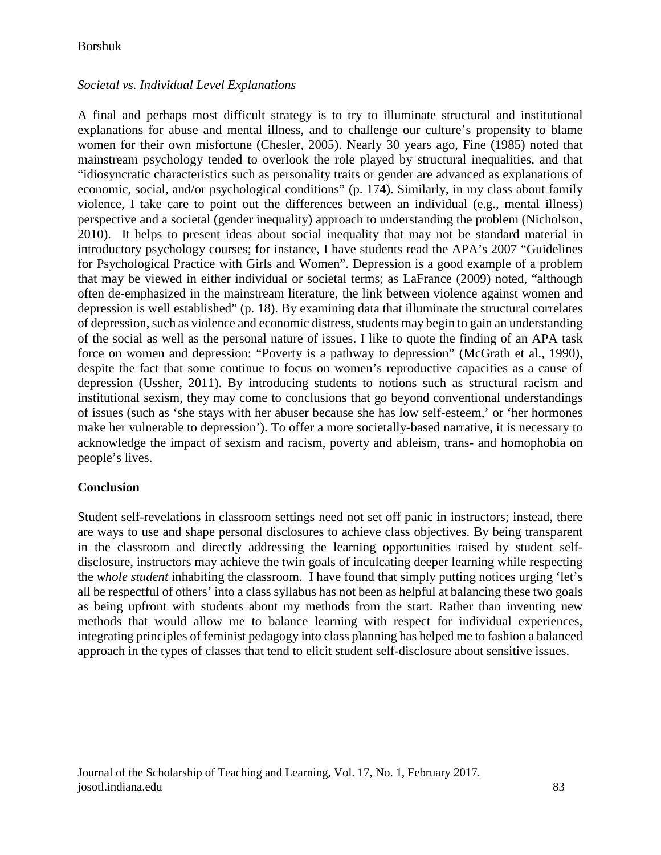# *Societal vs. Individual Level Explanations*

A final and perhaps most difficult strategy is to try to illuminate structural and institutional explanations for abuse and mental illness, and to challenge our culture's propensity to blame women for their own misfortune (Chesler, 2005). Nearly 30 years ago, Fine (1985) noted that mainstream psychology tended to overlook the role played by structural inequalities, and that "idiosyncratic characteristics such as personality traits or gender are advanced as explanations of economic, social, and/or psychological conditions" (p. 174). Similarly, in my class about family violence, I take care to point out the differences between an individual (e.g., mental illness) perspective and a societal (gender inequality) approach to understanding the problem (Nicholson, 2010). It helps to present ideas about social inequality that may not be standard material in introductory psychology courses; for instance, I have students read the APA's 2007 "Guidelines for Psychological Practice with Girls and Women". Depression is a good example of a problem that may be viewed in either individual or societal terms; as LaFrance (2009) noted, "although often de-emphasized in the mainstream literature, the link between violence against women and depression is well established" (p. 18). By examining data that illuminate the structural correlates of depression, such as violence and economic distress, students may begin to gain an understanding of the social as well as the personal nature of issues. I like to quote the finding of an APA task force on women and depression: "Poverty is a pathway to depression" (McGrath et al., 1990), despite the fact that some continue to focus on women's reproductive capacities as a cause of depression (Ussher, 2011). By introducing students to notions such as structural racism and institutional sexism, they may come to conclusions that go beyond conventional understandings of issues (such as 'she stays with her abuser because she has low self-esteem,' or 'her hormones make her vulnerable to depression'). To offer a more societally-based narrative, it is necessary to acknowledge the impact of sexism and racism, poverty and ableism, trans- and homophobia on people's lives.

## **Conclusion**

Student self-revelations in classroom settings need not set off panic in instructors; instead, there are ways to use and shape personal disclosures to achieve class objectives. By being transparent in the classroom and directly addressing the learning opportunities raised by student selfdisclosure, instructors may achieve the twin goals of inculcating deeper learning while respecting the *whole student* inhabiting the classroom. I have found that simply putting notices urging 'let's all be respectful of others' into a class syllabus has not been as helpful at balancing these two goals as being upfront with students about my methods from the start. Rather than inventing new methods that would allow me to balance learning with respect for individual experiences, integrating principles of feminist pedagogy into class planning has helped me to fashion a balanced approach in the types of classes that tend to elicit student self-disclosure about sensitive issues.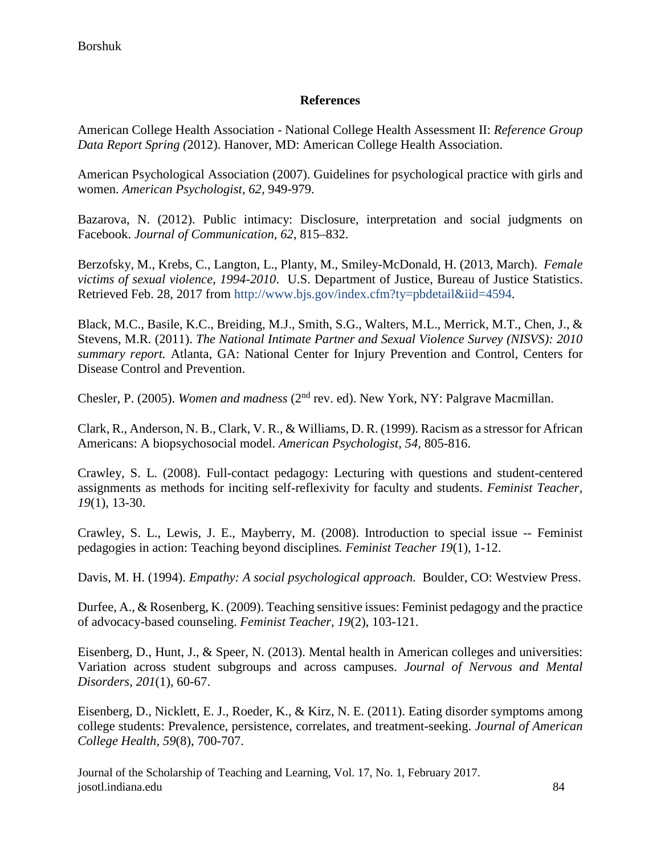# **References**

American College Health Association - National College Health Assessment II: *Reference Group Data Report Spring (*2012). Hanover, MD: American College Health Association.

American Psychological Association (2007). Guidelines for psychological practice with girls and women. *American Psychologist, 62,* 949-979.

Bazarova, N. (2012). Public intimacy: Disclosure, interpretation and social judgments on Facebook. *Journal of Communication, 62*, 815–832.

Berzofsky, M., Krebs, C., Langton, L., Planty, M., Smiley-McDonald, H. (2013, March). *Female victims of sexual violence, 1994-2010*. U.S. Department of Justice, Bureau of Justice Statistics. Retrieved Feb. 28, 2017 from [http://www.bjs.gov/index.cfm?ty=pbdetail&iid=4594.](http://www.bjs.gov/index.cfm?ty=pbdetail&iid=4594)

Black, M.C., Basile, K.C., Breiding, M.J., Smith, S.G., Walters, M.L., Merrick, M.T., Chen, J., & Stevens, M.R. (2011). *The National Intimate Partner and Sexual Violence Survey (NISVS): 2010 summary report.* Atlanta, GA: National Center for Injury Prevention and Control, Centers for Disease Control and Prevention.

Chesler, P. (2005). *Women and madness* (2nd rev. ed). New York, NY: Palgrave Macmillan.

Clark, R., Anderson, N. B., Clark, V. R., & Williams, D. R. (1999). Racism as a stressor for African Americans: A biopsychosocial model. *American Psychologist, 54,* 805-816.

Crawley, S. L. (2008). Full-contact pedagogy: Lecturing with questions and student-centered assignments as methods for inciting self-reflexivity for faculty and students. *Feminist Teacher, 19*(1), 13-30.

Crawley, S. L., Lewis, J. E., Mayberry, M. (2008). Introduction to special issue -- Feminist pedagogies in action: Teaching beyond disciplines*. Feminist Teacher 19*(1), 1-12.

Davis, M. H. (1994). *Empathy: A social psychological approach.* Boulder, CO: Westview Press.

Durfee, A., & Rosenberg, K. (2009). Teaching sensitive issues: Feminist pedagogy and the practice of advocacy-based counseling. *Feminist Teacher, 19*(2), 103-121.

Eisenberg, D., Hunt, J., & Speer, N. (2013). Mental health in American colleges and universities: Variation across student subgroups and across campuses. *Journal of Nervous and Mental Disorders, 201*(1), 60-67.

Eisenberg, D., Nicklett, E. J., Roeder, K., & Kirz, N. E. (2011). Eating disorder symptoms among college students: Prevalence, persistence, correlates, and treatment-seeking. *Journal of American College Health, 59*(8), 700-707.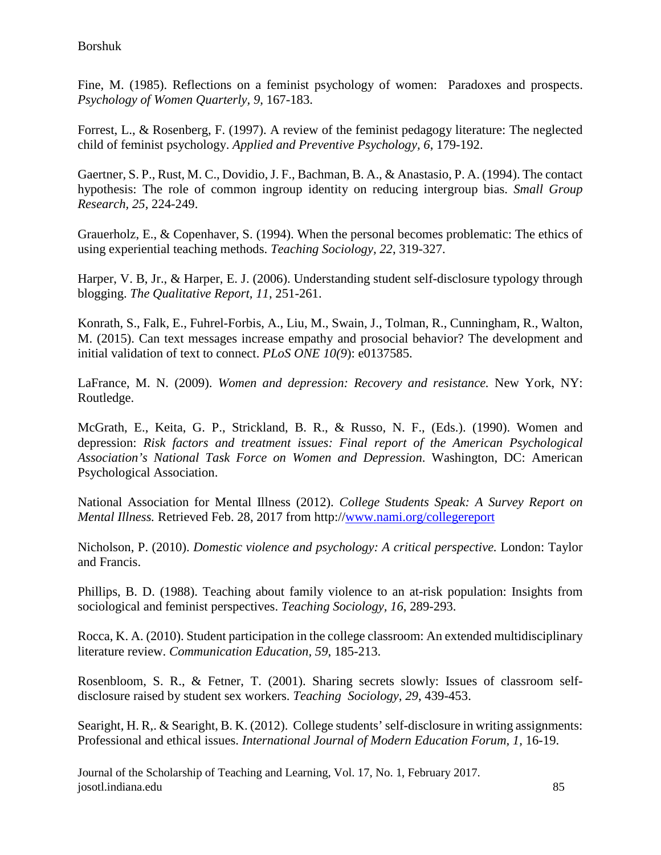Borshuk

Fine, M. (1985). Reflections on a feminist psychology of women: Paradoxes and prospects. *Psychology of Women Quarterly, 9,* 167-183.

Forrest, L., & Rosenberg, F. (1997). A review of the feminist pedagogy literature: The neglected child of feminist psychology. *Applied and Preventive Psychology, 6*, 179-192.

Gaertner, S. P., Rust, M. C., Dovidio, J. F., Bachman, B. A., & Anastasio, P. A. (1994). The contact hypothesis: The role of common ingroup identity on reducing intergroup bias. *Small Group Research, 25*, 224-249.

Grauerholz, E., & Copenhaver, S. (1994). When the personal becomes problematic: The ethics of using experiential teaching methods. *Teaching Sociology, 22*, 319-327.

Harper, V. B, Jr., & Harper, E. J. (2006). Understanding student self-disclosure typology through blogging. *The Qualitative Report, 11*, 251-261.

Konrath, S., Falk, E., Fuhrel-Forbis, A., Liu, M., Swain, J., Tolman, R., Cunningham, R., Walton, M. (2015). Can text messages increase empathy and prosocial behavior? The development and initial validation of text to connect. *PLoS ONE 10(9*): e0137585.

LaFrance, M. N. (2009). *Women and depression: Recovery and resistance.* New York, NY: Routledge.

McGrath, E., Keita, G. P., Strickland, B. R., & Russo, N. F., (Eds.). (1990). Women and depression: *Risk factors and treatment issues: Final report of the American Psychological Association's National Task Force on Women and Depression*. Washington, DC: American Psychological Association.

National Association for Mental Illness (2012). *College Students Speak: A Survey Report on Mental Illness.* Retrieved Feb. 28, 2017 from http:/[/www.nami.org/collegereport](http://www.nami.org/collegereport)

Nicholson, P. (2010). *Domestic violence and psychology: A critical perspective.* London: Taylor and Francis.

Phillips, B. D. (1988). Teaching about family violence to an at-risk population: Insights from sociological and feminist perspectives. *Teaching Sociology, 16*, 289-293.

Rocca, K. A. (2010). Student participation in the college classroom: An extended multidisciplinary literature review. *Communication Education, 59*, 185-213.

Rosenbloom, S. R., & Fetner, T. (2001). Sharing secrets slowly: Issues of classroom selfdisclosure raised by student sex workers. *Teaching Sociology, 29*, 439-453.

Searight, H. R,. & Searight, B. K. (2012). College students' self-disclosure in writing assignments: Professional and ethical issues. *International Journal of Modern Education Forum, 1,* 16-19.